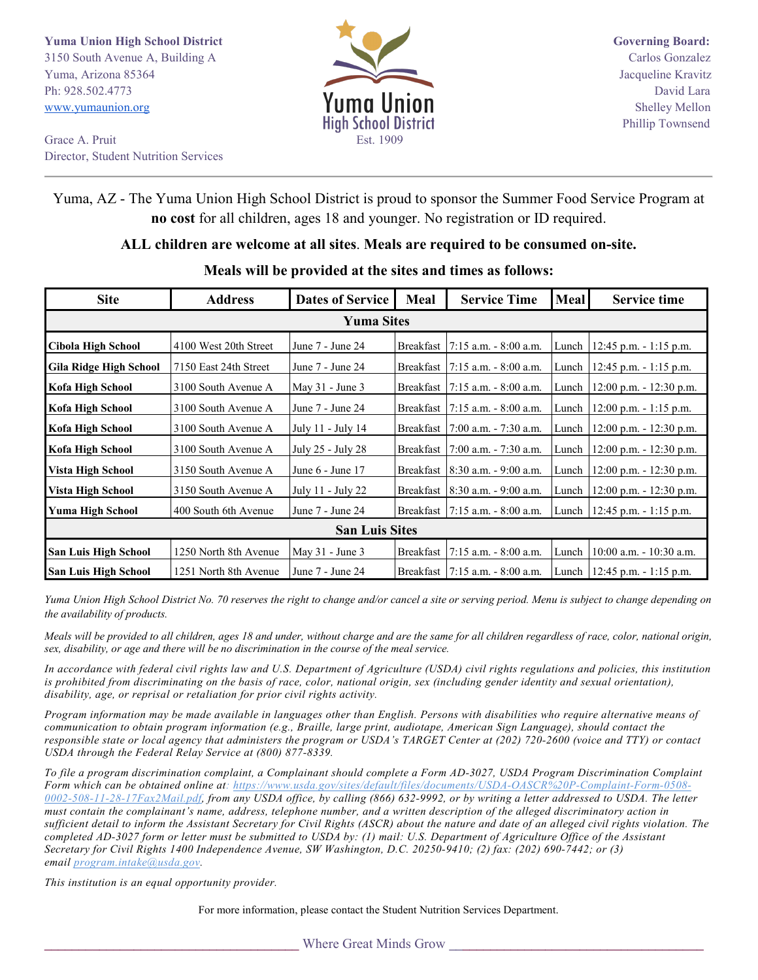**Yuma Union High School District Governing Board:** Governing Board: 3150 South Avenue A, Building A Carlos Gonzalez Yuma, Arizona 85364 Jacqueline Kravitz Ph: 928.502.4773 David Lara<br>www.yumaunion.org **WILMAN David Lara** [www.yumaunion.org](http://www.yumaunion.org/) **Shelley Mellon Shelley Mellon** 



Grace A. Pruit Est. 1909 Director, Student Nutrition Services

## Yuma, AZ - The Yuma Union High School District is proud to sponsor the Summer Food Service Program at **no cost** for all children, ages 18 and younger. No registration or ID required.

## **ALL children are welcome at all sites**. **Meals are required to be consumed on-site.**

| <b>Site</b>                   | <b>Address</b>        | <b>Dates of Service</b> | Meal | <b>Service Time</b>               | Meal          | <b>Service time</b>               |  |  |  |
|-------------------------------|-----------------------|-------------------------|------|-----------------------------------|---------------|-----------------------------------|--|--|--|
| <b>Yuma Sites</b>             |                       |                         |      |                                   |               |                                   |  |  |  |
| <b>Cibola High School</b>     | 4100 West 20th Street | June 7 - June 24        |      | Breakfast 17:15 a.m. - 8:00 a.m.  | Lunch $\vert$ | $12:45$ p.m. - 1:15 p.m.          |  |  |  |
| <b>Gila Ridge High School</b> | 7150 East 24th Street | June 7 - June 24        |      | Breakfast   7:15 a.m. - 8:00 a.m. |               | Lunch   12:45 p.m. - 1:15 p.m.    |  |  |  |
| Kofa High School              | 3100 South Avenue A   | May $31$ - June $3$     |      | Breakfast   7:15 a.m. - 8:00 a.m. | Lunch         | 12:00 p.m. - 12:30 p.m.           |  |  |  |
| Kofa High School              | 3100 South Avenue A   | June 7 - June 24        |      | Breakfast   7:15 a.m. - 8:00 a.m. | Lunch         | $12:00$ p.m. - 1:15 p.m.          |  |  |  |
| Kofa High School              | 3100 South Avenue A   | July 11 - July 14       |      | Breakfast 7:00 a.m. - 7:30 a.m.   | Lunch         | $12:00$ p.m. $-12:30$ p.m.        |  |  |  |
| Kofa High School              | 3100 South Avenue A   | July 25 - July 28       |      | Breakfast 17:00 a.m. - 7:30 a.m.  | Lunch         | $12:00$ p.m. $-12:30$ p.m.        |  |  |  |
| Vista High School             | 3150 South Avenue A   | June 6 - June 17        |      | Breakfast 18:30 a.m. - 9:00 a.m.  |               | Lunch   12:00 p.m. - 12:30 p.m.   |  |  |  |
| Vista High School             | 3150 South Avenue A   | July 11 - July 22       |      | Breakfast   8:30 a.m. - 9:00 a.m. |               | Lunch   12:00 p.m. - 12:30 p.m.   |  |  |  |
| Yuma High School              | 400 South 6th Avenue  | June 7 - June 24        |      | Breakfast   7:15 a.m. - 8:00 a.m. |               | Lunch   12:45 p.m. $-1:15$ p.m.   |  |  |  |
| <b>San Luis Sites</b>         |                       |                         |      |                                   |               |                                   |  |  |  |
| <b>San Luis High School</b>   | 1250 North 8th Avenue | May $31$ - June $3$     |      | Breakfast 7:15 a.m. - 8:00 a.m.   | Lunch         | 10:00 a.m. - 10:30 a.m.           |  |  |  |
| <b>San Luis High School</b>   | 1251 North 8th Avenue | June 7 - June 24        |      | Breakfast   7:15 a.m. - 8:00 a.m. |               | Lunch   $12:45$ p.m. $-1:15$ p.m. |  |  |  |

## **Meals will be provided at the sites and times as follows:**

*Yuma Union High School District No. 70 reserves the right to change and/or cancel a site or serving period. Menu is subject to change depending on the availability of products.* 

*Meals will be provided to all children, ages 18 and under, without charge and are the same for all children regardless of race, color, national origin, sex, disability, or age and there will be no discrimination in the course of the meal service.* 

*In accordance with federal civil rights law and U.S. Department of Agriculture (USDA) civil rights regulations and policies, this institution is prohibited from discriminating on the basis of race, color, national origin, sex (including gender identity and sexual orientation), disability, age, or reprisal or retaliation for prior civil rights activity.*

*Program information may be made available in languages other than English. Persons with disabilities who require alternative means of communication to obtain program information (e.g., Braille, large print, audiotape, American Sign Language), should contact the responsible state or local agency that administers the program or USDA's TARGET Center at (202) 720-2600 (voice and TTY) or contact USDA through the Federal Relay Service at (800) 877-8339.*

*To file a program discrimination complaint, a Complainant should complete a Form AD-3027, USDA Program Discrimination Complaint Form which can be obtained online at: [https://www.usda.gov/sites/default/files/documents/USDA-OASCR%20P-Complaint-Form-0508-](https://www.usda.gov/sites/default/files/documents/USDA-OASCR%20P-Complaint-Form-0508-0002-508-11-28-17Fax2Mail.pdf) [0002-508-11-28-17Fax2Mail.pdf,](https://www.usda.gov/sites/default/files/documents/USDA-OASCR%20P-Complaint-Form-0508-0002-508-11-28-17Fax2Mail.pdf) from any USDA office, by calling (866) 632-9992, or by writing a letter addressed to USDA. The letter must contain the complainant's name, address, telephone number, and a written description of the alleged discriminatory action in sufficient detail to inform the Assistant Secretary for Civil Rights (ASCR) about the nature and date of an alleged civil rights violation. The completed AD-3027 form or letter must be submitted to USDA by: (1) mail: U.S. Department of Agriculture Office of the Assistant Secretary for Civil Rights 1400 Independence Avenue, SW Washington, D.C. 20250-9410; (2) fax: (202) 690-7442; or (3) email [program.intake@usda.gov.](mailto:program.intake@usda.gov)*

*This institution is an equal opportunity provider.*

For more information, please contact the Student Nutrition Services Department.